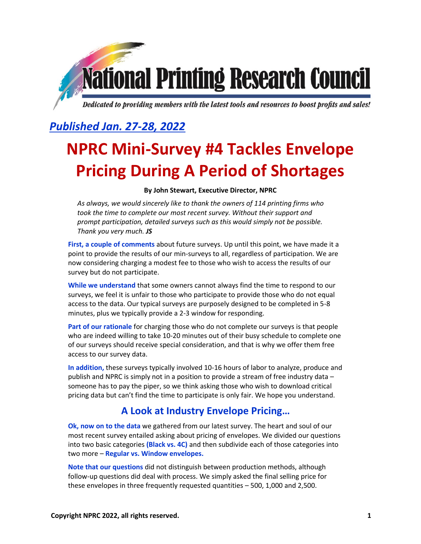

Dedicated to providing members with the latest tools and resources to boost profits and sales!

## *Published Jan. 27-28, 2022*

# **NPRC Mini-Survey #4 Tackles Envelope Pricing During A Period of Shortages**

#### **By John Stewart, Executive Director, NPRC**

*As always, we would sincerely like to thank the owners of 114 printing firms who took the time to complete our most recent survey. Without their support and prompt participation, detailed surveys such as this would simply not be possible. Thank you very much. JS*

**First, a couple of comments** about future surveys. Up until this point, we have made it a point to provide the results of our min-surveys to all, regardless of participation. We are now considering charging a modest fee to those who wish to access the results of our survey but do not participate.

**While we understand** that some owners cannot always find the time to respond to our surveys, we feel it is unfair to those who participate to provide those who do not equal access to the data. Our typical surveys are purposely designed to be completed in 5-8 minutes, plus we typically provide a 2-3 window for responding.

**Part of our rationale** for charging those who do not complete our surveys is that people who are indeed willing to take 10-20 minutes out of their busy schedule to complete one of our surveys should receive special consideration, and that is why we offer them free access to our survey data.

**In addition,** these surveys typically involved 10-16 hours of labor to analyze, produce and publish and NPRC is simply not in a position to provide a stream of free industry data – someone has to pay the piper, so we think asking those who wish to download critical pricing data but can't find the time to participate is only fair. We hope you understand.

## **A Look at Industry Envelope Pricing…**

**Ok, now on to the data** we gathered from our latest survey. The heart and soul of our most recent survey entailed asking about pricing of envelopes. We divided our questions into two basic categories **(Black vs. 4C)** and then subdivide each of those categories into two more – **Regular vs. Window envelopes.**

**Note that our questions** did not distinguish between production methods, although follow-up questions did deal with process. We simply asked the final selling price for these envelopes in three frequently requested quantities – 500, 1,000 and 2,500.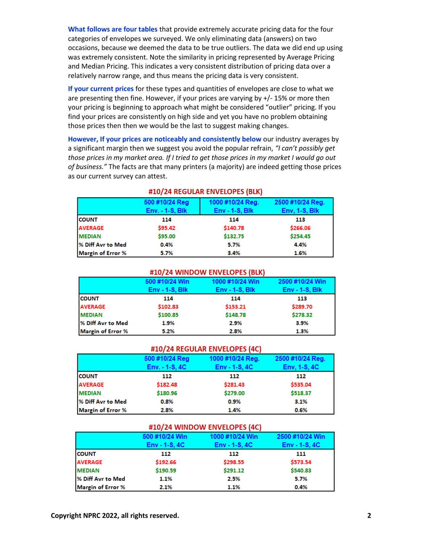**What follows are four tables** that provide extremely accurate pricing data for the four categories of envelopes we surveyed. We only eliminating data (answers) on two occasions, because we deemed the data to be true outliers. The data we did end up using was extremely consistent. Note the similarity in pricing represented by Average Pricing and Median Pricing. This indicates a very consistent distribution of pricing data over a relatively narrow range, and thus means the pricing data is very consistent.

**If your current prices** for these types and quantities of envelopes are close to what we are presenting then fine. However, if your prices are varying by +/- 15% or more then your pricing is beginning to approach what might be considered "outlier" pricing. If you find your prices are consistently on high side and yet you have no problem obtaining those prices then then we would be the last to suggest making changes.

**However, If your prices are noticeably and consistently below** our industry averages by a significant margin then we suggest you avoid the popular refrain, *"I can't possibly get those prices in my market area. If I tried to get those prices in my market I would go out of business."* The facts are that many printers (a majority) are indeed getting those prices as our current survey can attest.

|                          | 500 #10/24 Reg         | 1000 #10/24 Reg. | 2500 #10/24 Reg. |  |
|--------------------------|------------------------|------------------|------------------|--|
|                          | <b>Env. - 1-S, Blk</b> | $Env - 1-S, Blk$ | Env, 1-S, Blk    |  |
| <b>COUNT</b>             | 114                    | 114              | 113              |  |
| <b>AVERAGE</b>           | \$95.42                | \$140.78         | \$266.06         |  |
| <b>MEDIAN</b>            | \$95.00                | \$132.75         | \$254.45         |  |
| % Diff Avr to Med        | 0.4%                   | 5.7%             | 4.4%             |  |
| <b>Margin of Error %</b> | 5.7%                   | 3.4%             | 1.6%             |  |

#### #10/24 REGULAR ENVELOPES (BLK)

#### #10/24 WINDOW ENVELOPES (BLK)

|                          | 500 #10/24 Win    | 1000 #10/24 Win   | 2500 #10/24 Win   |
|--------------------------|-------------------|-------------------|-------------------|
|                          | $Env - 1-S$ , Blk | $Env - 1-S$ , Blk | $Env - 1-S$ , Blk |
| <b>COUNT</b>             | 114               | 114               | 113               |
| <b>AVERAGE</b>           | \$102.83          | \$153.21          | \$289.70          |
| <b>MEDIAN</b>            | \$100.85          | \$148.78          | \$278.32          |
| % Diff Avr to Med        | 1.9%              | 2.9%              | 3.9%              |
| <b>Margin of Error %</b> | 5.2%              | 2.8%              | 1.3%              |

#### #10/24 REGULAR ENVELOPES (4C)

|                          | 500 #10/24 Reg   | 1000 #10/24 Reg. | 2500 #10/24 Reg. |
|--------------------------|------------------|------------------|------------------|
|                          | $Env. - 1-S. 4C$ | $Env - 1-S, 4C$  | $Env, 1-S, 4C$   |
| <b>COUNT</b>             | 112              | 112              | 112              |
| <b>AVERAGE</b>           | \$182.48         | \$281.43         | \$535.04         |
| <b>MEDIAN</b>            | \$180.96         | \$279.00         | \$518.37         |
| % Diff Avr to Med        | 0.8%             | 0.9%             | 3.1%             |
| <b>Margin of Error %</b> | 2.8%             | 1.4%             | 0.6%             |

#### #10/24 WINDOW ENVELOPES (4C)

|                          | 500 #10/24 Win  | 1000 #10/24 Win | 2500 #10/24 Win |
|--------------------------|-----------------|-----------------|-----------------|
|                          | $Env - 1-S, 4C$ | $Env - 1-S, 4C$ | $Env - 1-S, 4C$ |
| <b>COUNT</b>             | 112             | 112             | 111             |
| <b>AVERAGE</b>           | \$192.66        | \$298.55        | \$573.54        |
| <b>MEDIAN</b>            | \$190.59        | \$291.12        | \$540.83        |
| % Diff Avr to Med        | 1.1%            | 2.5%            | 5.7%            |
| <b>Margin of Error %</b> | 2.1%            | 1.1%            | 0.4%            |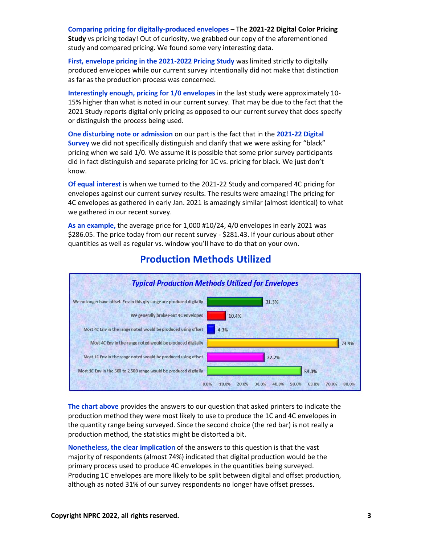**Comparing pricing for digitally-produced envelopes** – The **2021-22 Digital Color Pricing Study** vs pricing today! Out of curiosity, we grabbed our copy of the aforementioned study and compared pricing. We found some very interesting data.

**First, envelope pricing in the 2021-2022 Pricing Study** was limited strictly to digitally produced envelopes while our current survey intentionally did not make that distinction as far as the production process was concerned.

**Interestingly enough, pricing for 1/0 envelopes** in the last study were approximately 10- 15% higher than what is noted in our current survey. That may be due to the fact that the 2021 Study reports digital only pricing as opposed to our current survey that does specify or distinguish the process being used.

**One disturbing note or admission** on our part is the fact that in the **2021-22 Digital Survey** we did not specifically distinguish and clarify that we were asking for "black" pricing when we said 1/0. We assume it is possible that some prior survey participants did in fact distinguish and separate pricing for 1C vs. pricing for black. We just don't know.

**Of equal interest** is when we turned to the 2021-22 Study and compared 4C pricing for envelopes against our current survey results. The results were amazing! The pricing for 4C envelopes as gathered in early Jan. 2021 is amazingly similar (almost identical) to what we gathered in our recent survey.

**As an example,** the average price for 1,000 #10/24, 4/0 envelopes in early 2021 was \$286.05. The price today from our recent survey - \$281.43. If your curious about other quantities as well as regular vs. window you'll have to do that on your own.



## **Production Methods Utilized**

**The chart above** provides the answers to our question that asked printers to indicate the production method they were most likely to use to produce the 1C and 4C envelopes in the quantity range being surveyed. Since the second choice (the red bar) is not really a production method, the statistics might be distorted a bit.

**Nonetheless, the clear implication** of the answers to this question is that the vast majority of respondents (almost 74%) indicated that digital production would be the primary process used to produce 4C envelopes in the quantities being surveyed. Producing 1C envelopes are more likely to be split between digital and offset production, although as noted 31% of our survey respondents no longer have offset presses.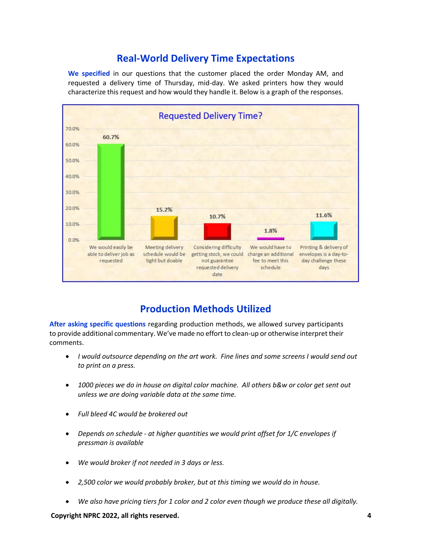## **Real-World Delivery Time Expectations**

**We specified** in our questions that the customer placed the order Monday AM, and requested a delivery time of Thursday, mid-day. We asked printers how they would characterize this request and how would they handle it. Below is a graph of the responses.



## **Production Methods Utilized**

**After asking specific questions** regarding production methods, we allowed survey participants to provide additional commentary. We've made no effort to clean-up or otherwise interpret their comments.

- *I would outsource depending on the art work. Fine lines and some screens I would send out to print on a press.*
- *1000 pieces we do in house on digital color machine. All others b&w or color get sent out unless we are doing variable data at the same time.*
- *Full bleed 4C would be brokered out*
- *Depends on schedule - at higher quantities we would print offset for 1/C envelopes if pressman is available*
- *We would broker if not needed in 3 days or less.*
- *2,500 color we would probably broker, but at this timing we would do in house.*
- *We also have pricing tiers for 1 color and 2 color even though we produce these all digitally.*

**Copyright NPRC 2022, all rights reserved. 4**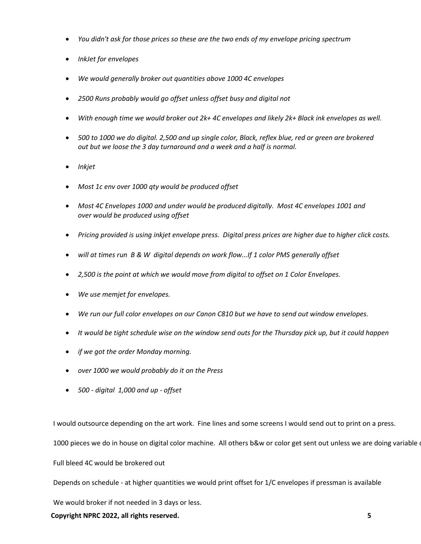- *You didn't ask for those prices so these are the two ends of my envelope pricing spectrum*
- *InkJet for envelopes*
- *We would generally broker out quantities above 1000 4C envelopes*
- *2500 Runs probably would go offset unless offset busy and digital not*
- *With enough time we would broker out 2k+ 4C envelopes and likely 2k+ Black ink envelopes as well.*
- *500 to 1000 we do digital. 2,500 and up single color, Black, reflex blue, red or green are brokered out but we loose the 3 day turnaround and a week and a half is normal.*
- *Inkjet*
- *Most 1c env over 1000 qty would be produced offset*
- *Most 4C Envelopes 1000 and under would be produced digitally. Most 4C envelopes 1001 and over would be produced using offset*
- *Pricing provided is using inkjet envelope press. Digital press prices are higher due to higher click costs.*
- *will at times run B & W digital depends on work flow...If 1 color PMS generally offset*
- *2,500 is the point at which we would move from digital to offset on 1 Color Envelopes.*
- *We use memjet for envelopes.*
- *We run our full color envelopes on our Canon C810 but we have to send out window envelopes.*
- *It would be tight schedule wise on the window send outs for the Thursday pick up, but it could happen*
- *if we got the order Monday morning.*
- *over 1000 we would probably do it on the Press*
- *500 - digital 1,000 and up - offset*

I would outsource depending on the art work. Fine lines and some screens I would send out to print on a press.

1000 pieces we do in house on digital color machine. All others b&w or color get sent out unless we are doing variable

Full bleed 4C would be brokered out

Depends on schedule - at higher quantities we would print offset for 1/C envelopes if pressman is available

We would broker if not needed in 3 days or less.

**Copyright NPRC 2022, all rights reserved. 5**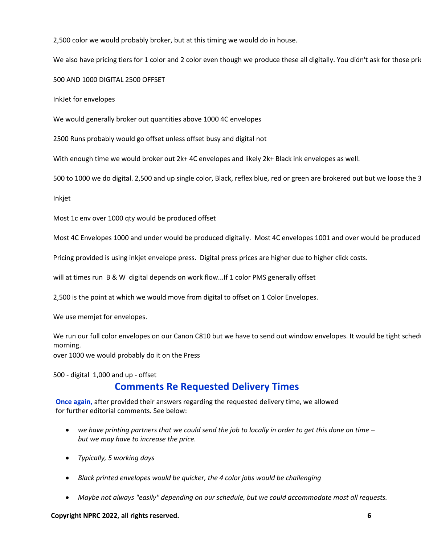2,500 color we would probably broker, but at this timing we would do in house.

We also have pricing tiers for 1 color and 2 color even though we produce these all digitally. You didn't ask for those prid

500 AND 1000 DIGITAL 2500 OFFSET

InkJet for envelopes

We would generally broker out quantities above 1000 4C envelopes

2500 Runs probably would go offset unless offset busy and digital not

With enough time we would broker out 2k+ 4C envelopes and likely 2k+ Black ink envelopes as well.

500 to 1000 we do digital. 2,500 and up single color, Black, reflex blue, red or green are brokered out but we loose the 3

Inkjet

Most 1c env over 1000 qty would be produced offset

Most 4C Envelopes 1000 and under would be produced digitally. Most 4C envelopes 1001 and over would be produced

Pricing provided is using inkjet envelope press. Digital press prices are higher due to higher click costs.

will at times run B & W digital depends on work flow...If 1 color PMS generally offset

2,500 is the point at which we would move from digital to offset on 1 Color Envelopes.

We use memjet for envelopes.

We run our full color envelopes on our Canon C810 but we have to send out window envelopes. It would be tight sched morning.

over 1000 we would probably do it on the Press

500 - digital 1,000 and up - offset

## **Comments Re Requested Delivery Times**

**Once again,** after provided their answers regarding the requested delivery time, we allowed for further editorial comments. See below:

- *we have printing partners that we could send the job to locally in order to get this done on time – but we may have to increase the price.*
- *Typically, 5 working days*
- *Black printed envelopes would be quicker, the 4 color jobs would be challenging*
- *Maybe not always "easily" depending on our schedule, but we could accommodate most all requests.*

**Copyright NPRC 2022, all rights reserved. 6**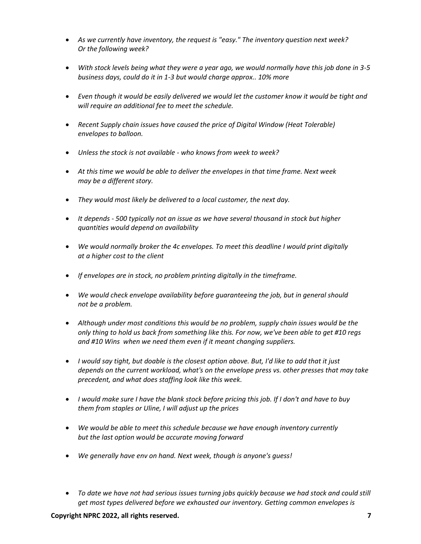- *As we currently have inventory, the request is "easy." The inventory question next week? Or the following week?*
- *With stock levels being what they were a year ago, we would normally have this job done in 3-5 business days, could do it in 1-3 but would charge approx.. 10% more*
- *Even though it would be easily delivered we would let the customer know it would be tight and will require an additional fee to meet the schedule.*
- *Recent Supply chain issues have caused the price of Digital Window (Heat Tolerable) envelopes to balloon.*
- *Unless the stock is not available - who knows from week to week?*
- *At this time we would be able to deliver the envelopes in that time frame. Next week may be a different story.*
- *They would most likely be delivered to a local customer, the next day.*
- *It depends - 500 typically not an issue as we have several thousand in stock but higher quantities would depend on availability*
- *We would normally broker the 4c envelopes. To meet this deadline I would print digitally at a higher cost to the client*
- *If envelopes are in stock, no problem printing digitally in the timeframe.*
- *We would check envelope availability before guaranteeing the job, but in general should not be a problem.*
- *Although under most conditions this would be no problem, supply chain issues would be the only thing to hold us back from something like this. For now, we've been able to get #10 regs and #10 Wins when we need them even if it meant changing suppliers.*
- *I would say tight, but doable is the closest option above. But, I'd like to add that it just depends on the current workload, what's on the envelope press vs. other presses that may take precedent, and what does staffing look like this week.*
- *I would make sure I have the blank stock before pricing this job. If I don't and have to buy them from staples or Uline, I will adjust up the prices*
- *We would be able to meet this schedule because we have enough inventory currently but the last option would be accurate moving forward*
- *We generally have env on hand. Next week, though is anyone's guess!*
- *To date we have not had serious issues turning jobs quickly because we had stock and could still get most types delivered before we exhausted our inventory. Getting common envelopes is*